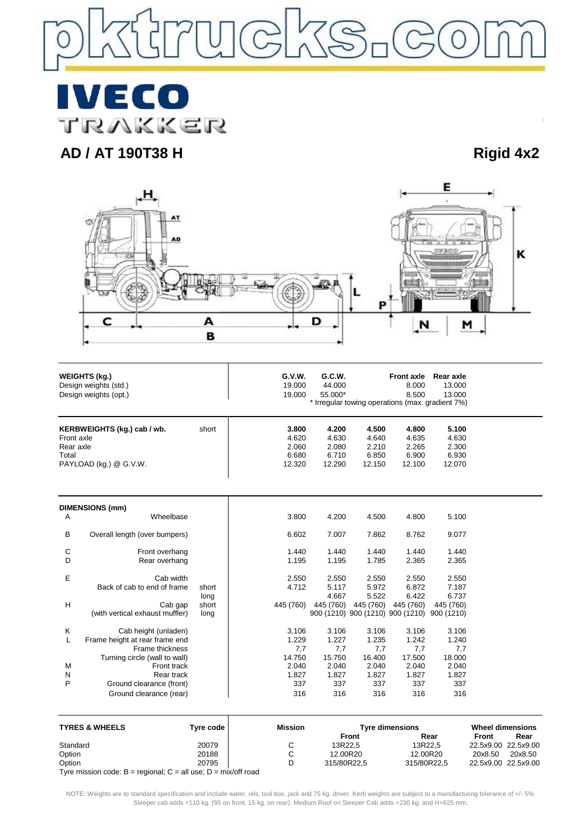

IVECO TRAKKER

# **AD / AT 190T38 H Rigid 4x2**



| <b>WEIGHTS (kg.)</b><br>Design weights (std.)<br>Design weights (opt.)                    |                                                                                                           |                                | G.V.W.<br>19.000<br>19.000                 | G.C.W.<br>44.000<br>55.000*                |                                            | <b>Front axle</b><br>8.000<br>8.500                                      | Rear axle<br>13.000<br>13.000<br>* Irregular towing operations (max. gradient 7%) |  |
|-------------------------------------------------------------------------------------------|-----------------------------------------------------------------------------------------------------------|--------------------------------|--------------------------------------------|--------------------------------------------|--------------------------------------------|--------------------------------------------------------------------------|-----------------------------------------------------------------------------------|--|
| KERBWEIGHTS (kg.) cab / wb.<br>Front axle<br>Rear axle<br>Total<br>PAYLOAD (kg.) @ G.V.W. |                                                                                                           | short                          | 3.800<br>4.620<br>2.060<br>6.680<br>12.320 | 4.200<br>4.630<br>2.080<br>6.710<br>12.290 | 4.500<br>4.640<br>2.210<br>6.850<br>12.150 | 4.800<br>4.635<br>2.265<br>6.900<br>12.100                               | 5.100<br>4.630<br>2.300<br>6.930<br>12.070                                        |  |
| Α                                                                                         | <b>DIMENSIONS (mm)</b><br>Wheelbase                                                                       |                                | 3.800                                      | 4.200                                      | 4.500                                      | 4.800                                                                    | 5.100                                                                             |  |
| В                                                                                         | Overall length (over bumpers)                                                                             |                                | 6.602                                      | 7.007                                      | 7.862                                      | 8.762                                                                    | 9.077                                                                             |  |
|                                                                                           |                                                                                                           |                                |                                            |                                            |                                            |                                                                          |                                                                                   |  |
| C<br>D                                                                                    | Front overhang<br>Rear overhang                                                                           |                                | 1.440<br>1.195                             | 1.440<br>1.195                             | 1.440<br>1.785                             | 1.440<br>2.365                                                           | 1.440<br>2.365                                                                    |  |
| Ε<br>H                                                                                    | Cab width<br>Back of cab to end of frame<br>Cab gap<br>(with vertical exhaust muffler)                    | short<br>long<br>short<br>long | 2.550<br>4.712<br>445 (760)                | 2.550<br>5.117<br>4.667<br>445 (760)       | 2.550<br>5.972<br>5.522<br>445 (760)       | 2.550<br>6.872<br>6.422<br>445 (760)<br>900 (1210) 900 (1210) 900 (1210) | 2.550<br>7.187<br>6.737<br>445 (760)<br>900 (1210)                                |  |
| Κ<br>L                                                                                    | Cab height (unladen)<br>Frame height at rear frame end                                                    |                                | 3.106<br>1.229                             | 3.106<br>1.227                             | 3.106<br>1.235                             | 3.106<br>1.242                                                           | 3.106<br>1.240                                                                    |  |
| M<br>N<br>P                                                                               | Frame thickness<br>Turning circle (wall to wall)<br>Front track<br>Rear track<br>Ground clearance (front) |                                | 7,7<br>14.750<br>2.040<br>1.827<br>337     | 7,7<br>15.750<br>2.040<br>1.827<br>337     | 7,7<br>16.400<br>2.040<br>1.827<br>337     | 7,7<br>17.500<br>2.040<br>1.827<br>337                                   | 7,7<br>18.000<br>2.040<br>1.827<br>337                                            |  |
| Ground clearance (rear)<br><b>TYRES &amp; WHEELS</b><br><b>Tyre code</b>                  |                                                                                                           | 316<br><b>Mission</b>          | 316                                        | 316<br><b>Front</b>                        | 316<br><b>Tyre dimensions</b>              | 316<br>Rear                                                              | <b>Wheel dimensions</b><br><b>Front</b><br>Rear                                   |  |

| Standard                                                             | 20079 | 13R22.5     | 13R22.5     | 22.5x9.00 22.5x9.00 |         |
|----------------------------------------------------------------------|-------|-------------|-------------|---------------------|---------|
| Option                                                               | 20188 | 12.00R20    | 12.00R20    | 20x8.50             | 20x8.50 |
| Option                                                               | 20795 | 315/80R22.5 | 315/80R22.5 | 22.5x9.00 22.5x9.00 |         |
| Tyre mission code: $B =$ regional; $C =$ all use; $D =$ mix/off road |       |             |             |                     |         |
|                                                                      |       |             |             |                     |         |

NOTE: Weights are to standard specification and include water, oils, tool box, jack and 75 kg. driver. Kerb weights are subject to a manufacturing tolerance of +/- 5%. Sleeper cab adds +110 kg. (95 on front, 15 kg. on rear). Medium Roof on Sleeper Cab adds +230 kg. and H=625 mm.